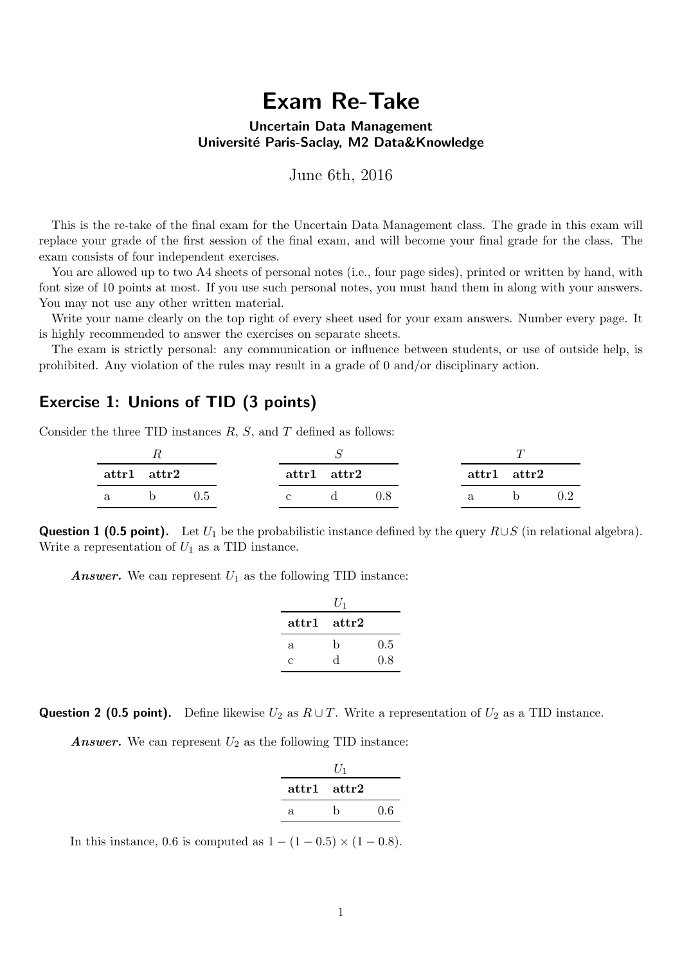# Exam Re-Take

#### Uncertain Data Management Université Paris-Saclay, M2 Data&Knowledge

June 6th, 2016

This is the re-take of the final exam for the Uncertain Data Management class. The grade in this exam will replace your grade of the first session of the final exam, and will become your final grade for the class. The exam consists of four independent exercises.

You are allowed up to two A4 sheets of personal notes (i.e., four page sides), printed or written by hand, with font size of 10 points at most. If you use such personal notes, you must hand them in along with your answers. You may not use any other written material.

Write your name clearly on the top right of every sheet used for your exam answers. Number every page. It is highly recommended to answer the exercises on separate sheets.

The exam is strictly personal: any communication or influence between students, or use of outside help, is prohibited. Any violation of the rules may result in a grade of 0 and/or disciplinary action.

### Exercise 1: Unions of TID (3 points)

Consider the three TID instances  $R$ ,  $S$ , and  $T$  defined as follows:

| $\mathbf{attr1} \quad \mathbf{attr2}$ |  |  | $\text{attr1}$ $\text{attr2}$ |  | $\mathbf{attr1} \quad \mathbf{attr2}$ |  |
|---------------------------------------|--|--|-------------------------------|--|---------------------------------------|--|
|                                       |  |  |                               |  |                                       |  |

**Question 1 (0.5 point).** Let  $U_1$  be the probabilistic instance defined by the query  $R\cup S$  (in relational algebra). Write a representation of  $U_1$  as a TID instance.

**Answer.** We can represent  $U_1$  as the following TID instance:

|                  | $U_1$ |     |
|------------------|-------|-----|
| $\mathbf{attr1}$ | attr2 |     |
| a.               | b     | 0.5 |
| C                | d     | 0.8 |

**Question 2 (0.5 point).** Define likewise  $U_2$  as  $R \cup T$ . Write a representation of  $U_2$  as a TID instance.

**Answer.** We can represent  $U_2$  as the following TID instance:

|    | U <sub>1</sub> |     |
|----|----------------|-----|
|    | attr1 attr2    |     |
| Я. | h              | 0.6 |

In this instance, 0.6 is computed as  $1 - (1 - 0.5) \times (1 - 0.8)$ .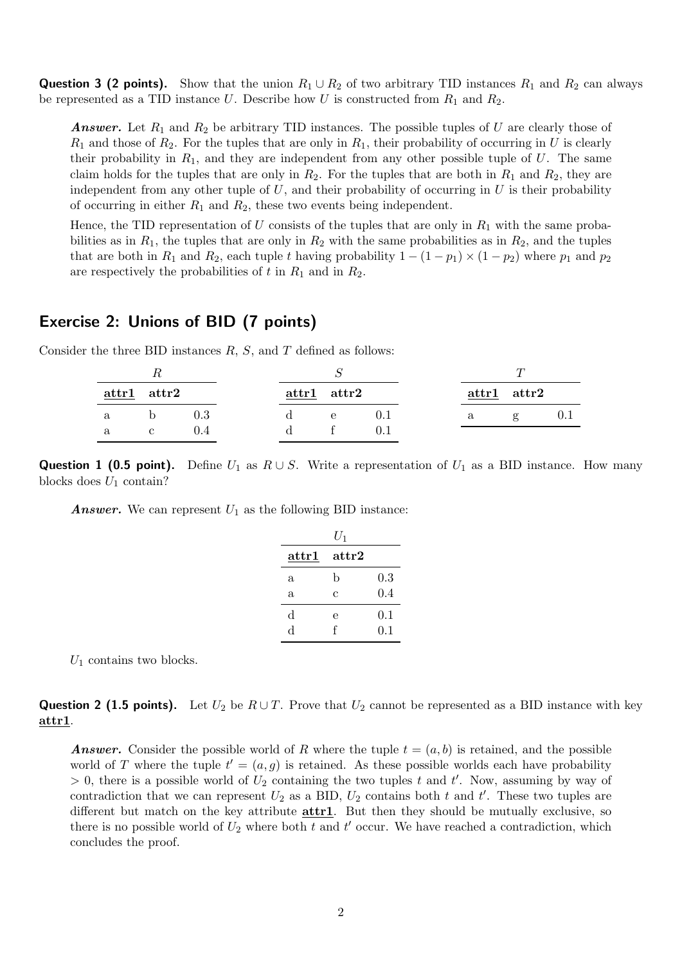**Question 3 (2 points).** Show that the union  $R_1 \cup R_2$  of two arbitrary TID instances  $R_1$  and  $R_2$  can always be represented as a TID instance U. Describe how U is constructed from  $R_1$  and  $R_2$ .

**Answer.** Let  $R_1$  and  $R_2$  be arbitrary TID instances. The possible tuples of U are clearly those of  $R_1$  and those of  $R_2$ . For the tuples that are only in  $R_1$ , their probability of occurring in U is clearly their probability in  $R_1$ , and they are independent from any other possible tuple of U. The same claim holds for the tuples that are only in  $R_2$ . For the tuples that are both in  $R_1$  and  $R_2$ , they are independent from any other tuple of  $U$ , and their probability of occurring in  $U$  is their probability of occurring in either  $R_1$  and  $R_2$ , these two events being independent.

Hence, the TID representation of U consists of the tuples that are only in  $R_1$  with the same probabilities as in  $R_1$ , the tuples that are only in  $R_2$  with the same probabilities as in  $R_2$ , and the tuples that are both in  $R_1$  and  $R_2$ , each tuple t having probability  $1 - (1 - p_1) \times (1 - p_2)$  where  $p_1$  and  $p_2$ are respectively the probabilities of t in  $R_1$  and in  $R_2$ .

### Exercise 2: Unions of BID (7 points)

Consider the three BID instances  $R$ ,  $S$ , and  $T$  defined as follows:

|   | $\text{attr1}$ $\text{attr2}$ |     | $attr1$ $attr2$ |      |  |   | $attr1$ $attr2$ |  |
|---|-------------------------------|-----|-----------------|------|--|---|-----------------|--|
| a |                               | 0.3 |                 | $-e$ |  | a | $\mathbf{g}$    |  |
|   |                               |     |                 |      |  |   |                 |  |

**Question 1 (0.5 point).** Define  $U_1$  as  $R \cup S$ . Write a representation of  $U_1$  as a BID instance. How many blocks does  $U_1$  contain?

**Answer.** We can represent  $U_1$  as the following BID instance:

|                | $U_1$            |         |
|----------------|------------------|---------|
| $_{\rm attr1}$ | $\mathrm{attr}2$ |         |
| a              | b                | $0.3\,$ |
| a              | Ċ                | 0.4     |
| d              | e                | 0.1     |
| ď              | f                | 0.1     |

 $U_1$  contains two blocks.

**Question 2 (1.5 points).** Let  $U_2$  be  $R \cup T$ . Prove that  $U_2$  cannot be represented as a BID instance with key attr1.

**Answer.** Consider the possible world of R where the tuple  $t = (a, b)$  is retained, and the possible world of T where the tuple  $t' = (a, g)$  is retained. As these possible worlds each have probability  $> 0$ , there is a possible world of  $U_2$  containing the two tuples t and t'. Now, assuming by way of contradiction that we can represent  $U_2$  as a BID,  $U_2$  contains both t and t'. These two tuples are different but match on the key attribute  $\frac{\text{attr1}}{2}$ . But then they should be mutually exclusive, so there is no possible world of  $U_2$  where both t and t' occur. We have reached a contradiction, which concludes the proof.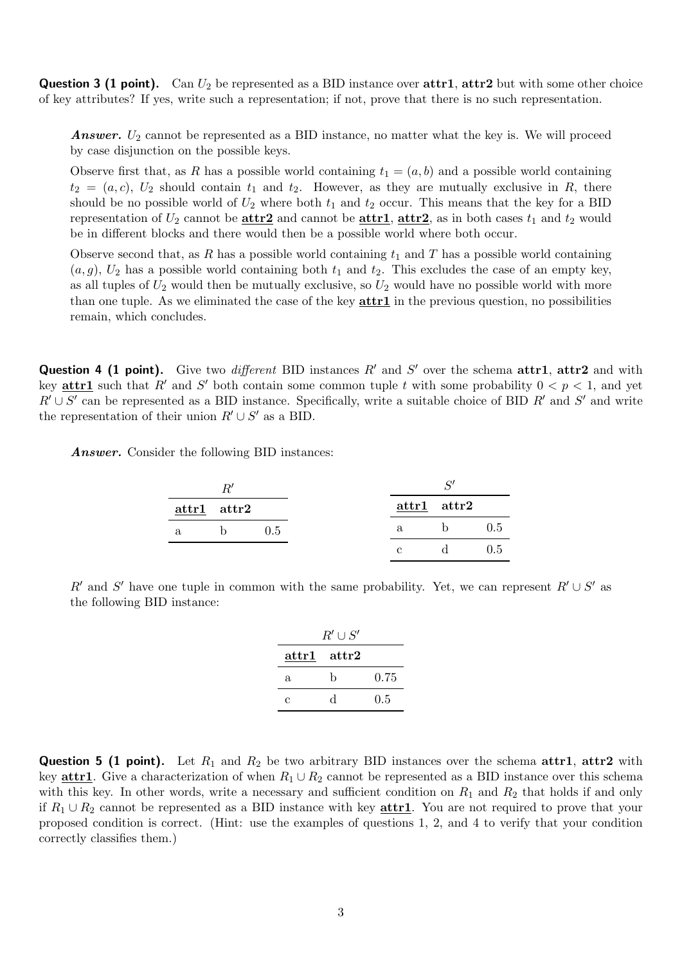**Question 3 (1 point).** Can  $U_2$  be represented as a BID instance over  $\text{attr1}, \text{attr2}$  but with some other choice of key attributes? If yes, write such a representation; if not, prove that there is no such representation.

**Answer.**  $U_2$  cannot be represented as a BID instance, no matter what the key is. We will proceed by case disjunction on the possible keys.

Observe first that, as R has a possible world containing  $t_1 = (a, b)$  and a possible world containing  $t_2 = (a, c), U_2$  should contain  $t_1$  and  $t_2$ . However, as they are mutually exclusive in R, there should be no possible world of  $U_2$  where both  $t_1$  and  $t_2$  occur. This means that the key for a BID representation of  $U_2$  cannot be  $\frac{\text{attr1}}{\text{attr2}}$ , attributing attributing as in both cases  $t_1$  and  $t_2$  would be in different blocks and there would then be a possible world where both occur.

Observe second that, as R has a possible world containing  $t_1$  and T has a possible world containing  $(a, g)$ ,  $U_2$  has a possible world containing both  $t_1$  and  $t_2$ . This excludes the case of an empty key, as all tuples of  $U_2$  would then be mutually exclusive, so  $U_2$  would have no possible world with more than one tuple. As we eliminated the case of the key  $\text{attr1}$  in the previous question, no possibilities remain, which concludes.

**Question 4 (1 point).** Give two *different* BID instances  $R'$  and  $S'$  over the schema attr1, attr2 and with key **attr1** such that R' and S' both contain some common tuple t with some probability  $0 < p < 1$ , and yet  $R' \cup S'$  can be represented as a BID instance. Specifically, write a suitable choice of BID  $R'$  and  $S'$  and write the representation of their union  $R' \cup S'$  as a BID.

Answer. Consider the following BID instances:

|    | $attr1$ $attr2$ |     | $attr1$ $attr2$ |     |
|----|-----------------|-----|-----------------|-----|
| a. |                 | 0.5 | $\mathbf{a}$    | 0.5 |
|    |                 |     |                 | 0.5 |

R' and S' have one tuple in common with the same probability. Yet, we can represent  $R' \cup S'$  as the following BID instance:

|                 | $R' \cup S'$  |         |
|-----------------|---------------|---------|
| $attr1$ $attr2$ |               |         |
| a               | b             | 0.75    |
| C               | $\mathcal{L}$ | $0.5\,$ |

**Question 5 (1 point).** Let  $R_1$  and  $R_2$  be two arbitrary BID instances over the schema attr1, attr2 with key **attr1**. Give a characterization of when  $R_1 \cup R_2$  cannot be represented as a BID instance over this schema with this key. In other words, write a necessary and sufficient condition on  $R_1$  and  $R_2$  that holds if and only if  $R_1 \cup R_2$  cannot be represented as a BID instance with key **attr1**. You are not required to prove that your proposed condition is correct. (Hint: use the examples of questions 1, 2, and 4 to verify that your condition correctly classifies them.)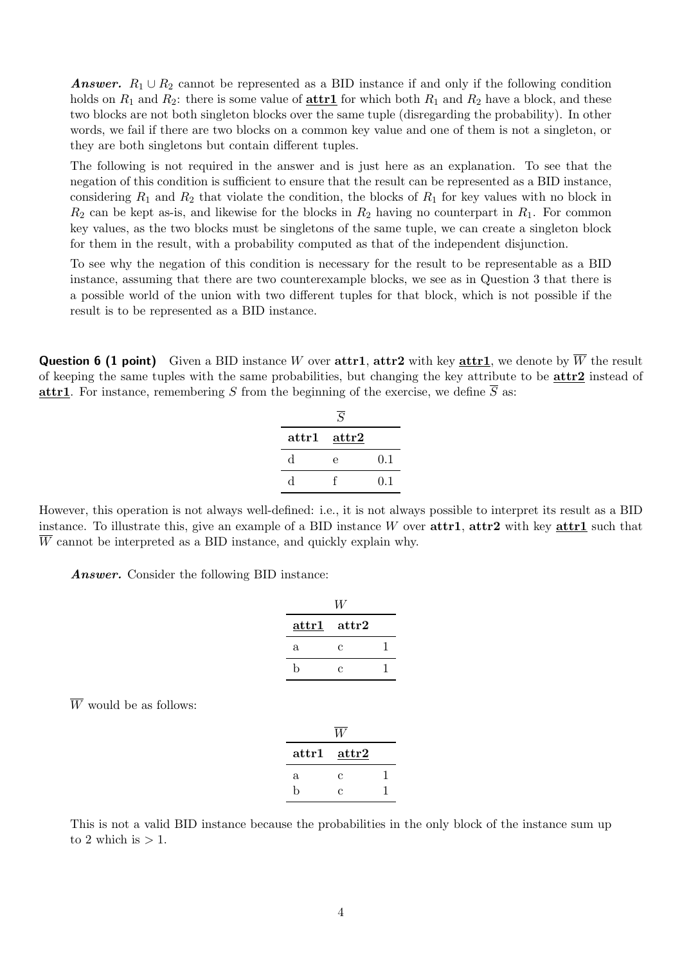Answer.  $R_1 \cup R_2$  cannot be represented as a BID instance if and only if the following condition holds on  $R_1$  and  $R_2$ : there is some value of **attr1** for which both  $R_1$  and  $R_2$  have a block, and these two blocks are not both singleton blocks over the same tuple (disregarding the probability). In other words, we fail if there are two blocks on a common key value and one of them is not a singleton, or they are both singletons but contain different tuples.

The following is not required in the answer and is just here as an explanation. To see that the negation of this condition is sufficient to ensure that the result can be represented as a BID instance, considering  $R_1$  and  $R_2$  that violate the condition, the blocks of  $R_1$  for key values with no block in  $R_2$  can be kept as-is, and likewise for the blocks in  $R_2$  having no counterpart in  $R_1$ . For common key values, as the two blocks must be singletons of the same tuple, we can create a singleton block for them in the result, with a probability computed as that of the independent disjunction.

To see why the negation of this condition is necessary for the result to be representable as a BID instance, assuming that there are two counterexample blocks, we see as in Question 3 that there is a possible world of the union with two different tuples for that block, which is not possible if the result is to be represented as a BID instance.

**Question 6 (1 point)** Given a BID instance W over attr1, attr2 with key attr1, we denote by  $\overline{W}$  the result of keeping the same tuples with the same probabilities, but changing the key attribute to be attr2 instead of attr1. For instance, remembering S from the beginning of the exercise, we define  $\overline{S}$  as:

|                | S              |     |
|----------------|----------------|-----|
| $_{\rm attr1}$ | $\text{attr2}$ |     |
| d              | е              | 0.1 |
| d              |                | 0.1 |

However, this operation is not always well-defined: i.e., it is not always possible to interpret its result as a BID instance. To illustrate this, give an example of a BID instance  $W$  over  $\text{attr1}, \text{attr2}$  with key  $\text{attr1}$  such that  $\overline{W}$  cannot be interpreted as a BID instance, and quickly explain why.

Answer. Consider the following BID instance:

| $\mathbf{attr1}$ | $\mathrm{attr}2$ |  |
|------------------|------------------|--|
| a                | С                |  |
| h                | С                |  |

 $\overline{W}$  would be as follows:

| $\mathbf{attr1}$ | attr2 |  |
|------------------|-------|--|
| a                | С     |  |
| h                | C     |  |

This is not a valid BID instance because the probabilities in the only block of the instance sum up to 2 which is  $> 1$ .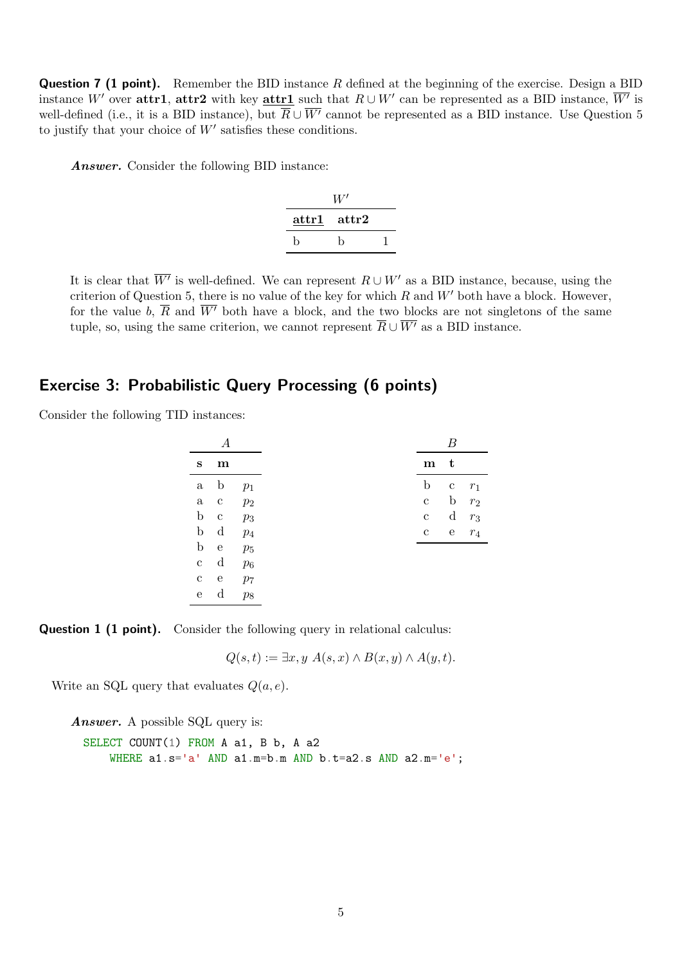**Question 7 (1 point).** Remember the BID instance R defined at the beginning of the exercise. Design a BID instance W' over attr1, attr2 with key attr1 such that  $R \cup W'$  can be represented as a BID instance,  $\overline{W'}$  is well-defined (i.e., it is a BID instance), but  $\overline{R} \cup \overline{W'}$  cannot be represented as a BID instance. Use Question 5 to justify that your choice of  $W'$  satisfies these conditions.

Answer. Consider the following BID instance:

|       | $W^\prime$ |  |
|-------|------------|--|
| attr1 | attr2      |  |
| h     | h          |  |

It is clear that  $\overline{W'}$  is well-defined. We can represent  $R \cup W'$  as a BID instance, because, using the criterion of Question 5, there is no value of the key for which  $R$  and  $W'$  both have a block. However, for the value b,  $\overline{R}$  and  $\overline{W'}$  both have a block, and the two blocks are not singletons of the same tuple, so, using the same criterion, we cannot represent  $\overline{R} \cup \overline{W'}$  as a BID instance.

#### Exercise 3: Probabilistic Query Processing (6 points)

Consider the following TID instances:

| s            | m            |                |
|--------------|--------------|----------------|
| $\rm{a}$     | $\mathbf b$  | $p_1$          |
| $\rm{a}$     | $\mathbf{c}$ | $p_2$          |
| $\mathbf b$  | $\mathbf{c}$ | $p_3$          |
| $\mathbf b$  | $\mathbf d$  | $p_4$          |
| $\mathbf b$  | e e          | $p_5$          |
| $\mathbf c$  | $\mathbf d$  | $p_6$          |
| $\mathbf{C}$ | e            | p <sub>7</sub> |
| ${\bf e}$    | $\mathbf d$  | $p_8$          |

**Question 1 (1 point).** Consider the following query in relational calculus:

 $Q(s,t) := \exists x, y \; A(s,x) \wedge B(x,y) \wedge A(y,t).$ 

Write an SQL query that evaluates  $Q(a, e)$ .

Answer. A possible SQL query is: SELECT COUNT(1) FROM A a1, B b, A a2 WHERE a1.s='a' AND a1.m=b.m AND b.t=a2.s AND a2.m='e';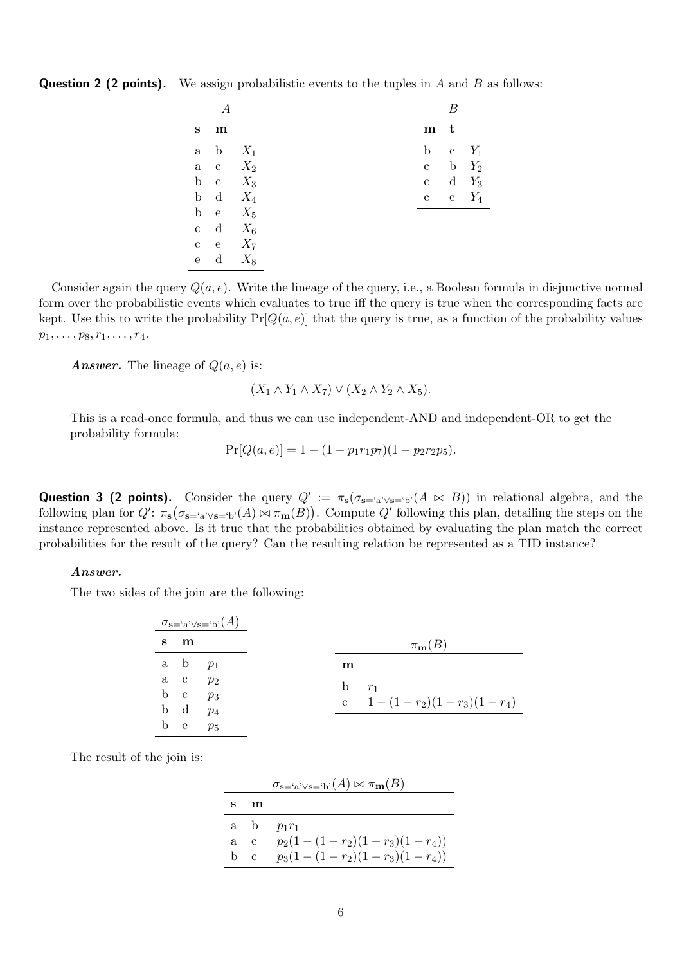| S            | m            |       |
|--------------|--------------|-------|
|              | a b          | $X_1$ |
| $\mathbf a$  | c $X_2$      |       |
|              | b c          | $X_3$ |
|              | b d          | $X_4$ |
|              | b e          | $X_5$ |
| $\mathbf c$  | $\mathbf d$  | $X_6$ |
| $\mathbf{c}$ | $^{\circ}$ e | $X_7$ |
| $\mathbf{e}$ | d            | $X_8$ |

**Question 2 (2 points).** We assign probabilistic events to the tuples in A and B as follows:

Consider again the query  $Q(a, e)$ . Write the lineage of the query, i.e., a Boolean formula in disjunctive normal form over the probabilistic events which evaluates to true iff the query is true when the corresponding facts are kept. Use this to write the probability  $Pr[Q(a, e)]$  that the query is true, as a function of the probability values  $p_1, \ldots, p_8, r_1, \ldots, r_4.$ 

**Answer.** The lineage of  $Q(a, e)$  is:

$$
(X_1 \wedge Y_1 \wedge X_7) \vee (X_2 \wedge Y_2 \wedge X_5)
$$

This is a read-once formula, and thus we can use independent-AND and independent-OR to get the probability formula:

$$
Pr[Q(a, e)] = 1 - (1 - p_1 r_1 p_7)(1 - p_2 r_2 p_5).
$$

Question 3 (2 points). Consider the query  $Q' := \pi_s(\sigma_{s= 'a' \vee s= 'b'}(A \bowtie B))$  in relational algebra, and the following plan for  $Q'$ :  $\pi_s(\sigma_{s= 'a' \vee s= 'b'}(A) \bowtie \pi_m(B))$ . Compute  $Q'$  following this plan, detailing the steps on the instance represented above. Is it true that the probabilities obtained by evaluating the plan match the correct probabilities for the result of the query? Can the resulting relation be represented as a TID instance?

#### Answer.

The two sides of the join are the following:

|   |           | $\sigma_{\mathbf{s}=\mathbf{a}'\vee\mathbf{s}=\mathbf{b}'}(A)$ |                             |                       |
|---|-----------|----------------------------------------------------------------|-----------------------------|-----------------------|
| S | m         |                                                                |                             | $\pi_{\mathbf{m}}(B)$ |
|   | a b $p_1$ |                                                                | m                           |                       |
|   | a c $p_2$ |                                                                | b $r_1$                     |                       |
|   | b c $p_3$ |                                                                | c $1-(1-r_2)(1-r_3)(1-r_4)$ |                       |
|   | b d $p_4$ |                                                                |                             |                       |
| b | e e       | $p_5$                                                          |                             |                       |

The result of the join is:

|   |     | $\sigma_{\mathbf{s}=\mathbf{a}'\vee\mathbf{s}=\mathbf{b}'}(A) \bowtie \pi_{\mathbf{m}}(B)$ |
|---|-----|--------------------------------------------------------------------------------------------|
| s | m   |                                                                                            |
|   |     | a b $p_1r_1$                                                                               |
|   | a c | $p_2(1-(1-r_2)(1-r_3)(1-r_4))$                                                             |
|   | b c | $p_3(1-(1-r_2)(1-r_3)(1-r_4))$                                                             |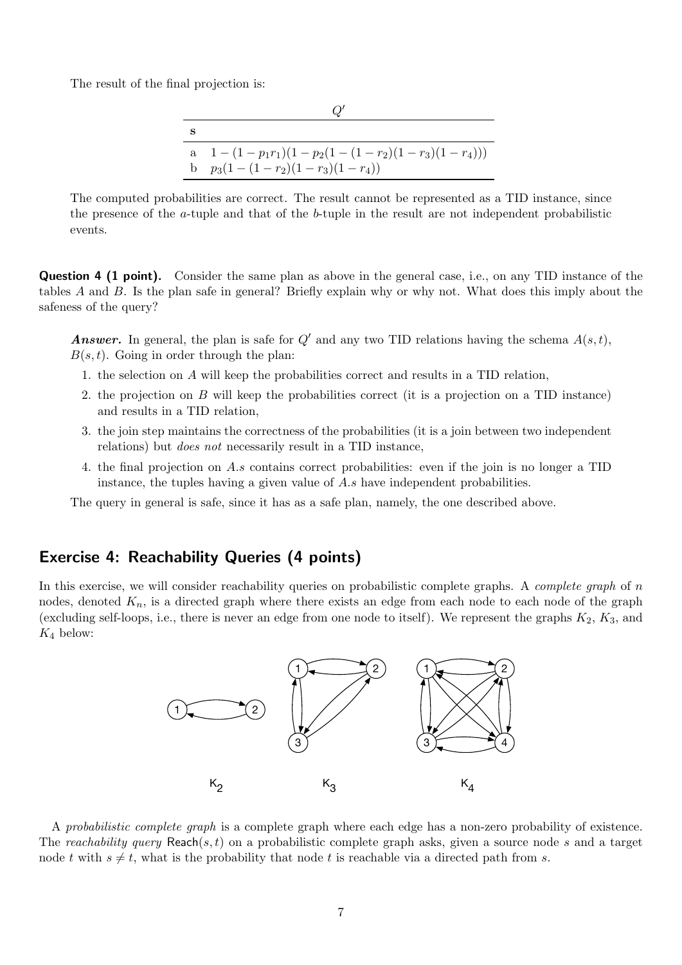The result of the final projection is:

| s |                                                  |
|---|--------------------------------------------------|
|   | a $1-(1-p_1r_1)(1-p_2(1-(1-r_2)(1-r_3)(1-r_4)))$ |
|   | b $p_3(1-(1-r_2)(1-r_3)(1-r_4))$                 |

The computed probabilities are correct. The result cannot be represented as a TID instance, since the presence of the a-tuple and that of the b-tuple in the result are not independent probabilistic events.

**Question 4 (1 point).** Consider the same plan as above in the general case, i.e., on any TID instance of the tables A and B. Is the plan safe in general? Briefly explain why or why not. What does this imply about the safeness of the query?

**Answer.** In general, the plan is safe for  $Q'$  and any two TID relations having the schema  $A(s,t)$ ,  $B(s, t)$ . Going in order through the plan:

- 1. the selection on A will keep the probabilities correct and results in a TID relation,
- 2. the projection on B will keep the probabilities correct (it is a projection on a TID instance) and results in a TID relation,
- 3. the join step maintains the correctness of the probabilities (it is a join between two independent relations) but does not necessarily result in a TID instance,
- 4. the final projection on A.s contains correct probabilities: even if the join is no longer a TID instance, the tuples having a given value of A.s have independent probabilities.

The query in general is safe, since it has as a safe plan, namely, the one described above.

## Exercise 4: Reachability Queries (4 points)

In this exercise, we will consider reachability queries on probabilistic complete graphs. A *complete graph* of n nodes, denoted  $K_n$ , is a directed graph where there exists an edge from each node to each node of the graph (excluding self-loops, i.e., there is never an edge from one node to itself). We represent the graphs  $K_2$ ,  $K_3$ , and  $K_4$  below:



A probabilistic complete graph is a complete graph where each edge has a non-zero probability of existence. The reachability query Reach(s, t) on a probabilistic complete graph asks, given a source node s and a target node t with  $s \neq t$ , what is the probability that node t is reachable via a directed path from s.